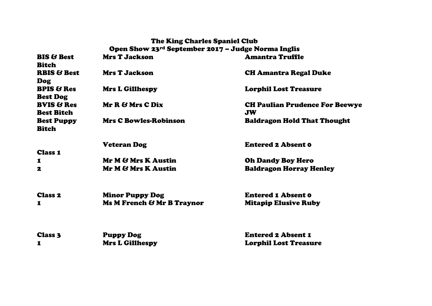## The King Charles Spaniel Club Open Show 23rd September 2017 – Judge Norma Inglis **BIS & Best** Bitch Mrs T Jackson Amantra Truffle RBIS & Best Dog Mrs T Jackson CH Amantra Regal Duke BPIS & Res Best Dog Mrs L Gillhespy Lorphil Lost Treasure BVIS & Res Best Bitch Mr R & Mrs C Dix CH Paulian Prudence For Beewye JW Best Puppy Bitch Mrs C Bowles-Robinson Baldragon Hold That Thought Class 1 Veteran Dog **Entered 2 Absent 0** 1 Mr M & Mrs K Austin Oh Dandy Boy Hero 2 Mr M & Mrs K Austin Baldragon Horray Henley Class 2 Minor Puppy Dog Entered 1 Absent 0 1 Ms M French & Mr B Traynor Mitapip Elusive Ruby Class 3 Puppy Dog Entered 2 Absent 1

1 Mrs L Gillhespy Lorphil Lost Treasure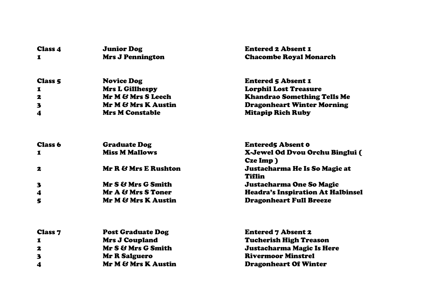| <b>Class 4</b> | <b>Junior Dog</b>        | <b>Entered 2 Absent 1</b>                |
|----------------|--------------------------|------------------------------------------|
| 1              | <b>Mrs J Pennington</b>  | <b>Chacombe Royal Monarch</b>            |
| <b>Class 5</b> | <b>Novice Dog</b>        | <b>Entered 5 Absent 1</b>                |
| 1              | <b>Mrs L Gillhespy</b>   | <b>Lorphil Lost Treasure</b>             |
| 2              | Mr M & Mrs S Leech       | <b>Khandrao Something Tells Me</b>       |
| $\mathbf{3}$   | Mr M & Mrs K Austin      | <b>Dragonheart Winter Morning</b>        |
| 4              | <b>Mrs M Constable</b>   | <b>Mitapip Rich Ruby</b>                 |
| <b>Class 6</b> | <b>Graduate Dog</b>      | <b>Entered5 Absent 0</b>                 |
| 1              | <b>Miss M Mallows</b>    | X-Jewel Od Dvou Orchu Binglui (          |
|                |                          | Cze Imp)                                 |
| 2              | Mr R & Mrs E Rushton     | Justacharma He Is So Magic at<br>Tiflin  |
| 3              | Mr S & Mrs G Smith       | Justacharma One So Magic                 |
| 4              | Mr A & Mrs S Toner       | <b>Headra's Inspiration At Halbinsel</b> |
| 5              | Mr M & Mrs K Austin      | <b>Dragonheart Full Breeze</b>           |
| <b>Class 7</b> | <b>Post Graduate Dog</b> | <b>Entered 7 Absent 2</b>                |
| 1              | <b>Mrs J Coupland</b>    | <b>Tucherish High Treason</b>            |
| 2              | Mr S & Mrs G Smith       | <b>Justacharma Magic Is Here</b>         |
| 3              | <b>Mr R Salguero</b>     | <b>Rivermoor Minstrel</b>                |
| 4              | Mr M & Mrs K Austin      | <b>Dragonheart Of Winter</b>             |
|                |                          |                                          |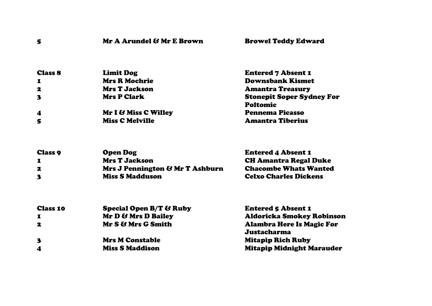| 5                | Mr A Arundel & Mr E Brown | <b>Browel Teddy Edward</b>                          |
|------------------|---------------------------|-----------------------------------------------------|
| <b>Class 8</b>   | <b>Limit Dog</b>          | <b>Entered 7 Absent 1</b>                           |
| $\mathbf 1$      | <b>Mrs R Mochrie</b>      | <b>Downsbank Kismet</b>                             |
| 2                | <b>Mrs T Jackson</b>      | <b>Amantra Treasury</b>                             |
| $\mathbf{3}$     | <b>Mrs P Clark</b>        | <b>Stonepit Soper Sydney For</b><br><b>Poltomic</b> |
| $\boldsymbol{4}$ | Mr I & Miss C Willey      | <b>Pennema Picasso</b>                              |
| 5                | <b>Miss C Melville</b>    | <b>Amantra Tiberius</b>                             |

| <b>Class 9</b> | <b>Open Dog</b>                 | <b>Entered 4 Absent 1</b>    |
|----------------|---------------------------------|------------------------------|
| 1              | <b>Mrs T Jackson</b>            | <b>CH Amantra Regal Duke</b> |
| 2              | Mrs J Pennington & Mr T Ashburn | <b>Chacombe Whats Wanted</b> |
| 3              | <b>Miss S Madduson</b>          | <b>Celxo Charles Dickens</b> |

| <b>Special Open B/T &amp; Ruby</b> | <b>Entered 5 Absent 1</b>        |
|------------------------------------|----------------------------------|
| Mr D & Mrs D Bailey                | <b>Aldoricka Smokey Robinson</b> |
| Mr S & Mrs G Smith                 | <b>Alambra Here Is Magic For</b> |
|                                    | Justacharma                      |
| <b>Mrs M Constable</b>             | <b>Mitapip Rich Ruby</b>         |
| <b>Miss S Maddison</b>             | <b>Mitapip Midnight Marauder</b> |
|                                    |                                  |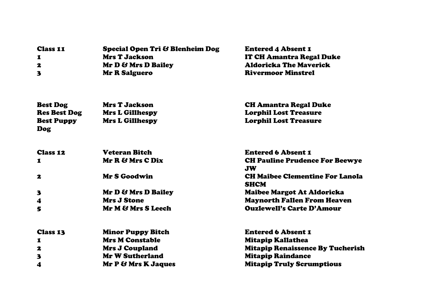| <b>Class 11</b> | <b>Special Open Tri &amp; Blenheim Dog</b> | <b>Entered 4 Absent 1</b>     |
|-----------------|--------------------------------------------|-------------------------------|
| $\mathbf I$     | <b>Mrs T Jackson</b>                       | IT CH Amantra Regal Duke      |
| 2               | Mr D & Mrs D Bailey                        | <b>Aldoricka The Maverick</b> |
|                 | <b>Mr R Salguero</b>                       | <b>Rivermoor Minstrel</b>     |
|                 |                                            |                               |

| <b>Best Dog</b>                 | <b>Mrs T Jackson</b>     | <b>CH Amantra Regal Duke</b>                          |
|---------------------------------|--------------------------|-------------------------------------------------------|
| <b>Res Best Dog</b>             | <b>Mrs L Gillhespy</b>   | <b>Lorphil Lost Treasure</b>                          |
| <b>Best Puppy</b><br><b>Dog</b> | <b>Mrs L Gillhespy</b>   | <b>Lorphil Lost Treasure</b>                          |
| <b>Class 12</b>                 | <b>Veteran Bitch</b>     | <b>Entered 6 Absent 1</b>                             |
| 1                               | Mr R & Mrs C Dix         | <b>CH Pauline Prudence For Beewye</b><br><b>JW</b>    |
| 2                               | Mr S Goodwin             | <b>CH Maibee Clementine For Lanola</b><br><b>SHCM</b> |
| $\mathbf{3}$                    | Mr D & Mrs D Bailey      | Maibee Margot At Aldoricka                            |
| $\boldsymbol{4}$                | <b>Mrs J Stone</b>       | <b>Maynorth Fallen From Heaven</b>                    |
| 5                               | Mr M & Mrs S Leech       | <b>Ouzlewell's Carte D'Amour</b>                      |
| <b>Class 13</b>                 | <b>Minor Puppy Bitch</b> | <b>Entered 6 Absent 1</b>                             |
| 1                               | <b>Mrs M Constable</b>   | Mitapip Kallathea                                     |
| 2                               | <b>Mrs J Coupland</b>    | <b>Mitapip Renaissence By Tucherish</b>               |
| 3                               | <b>Mr W Sutherland</b>   | <b>Mitapip Raindance</b>                              |
| 4                               | Mr P & Mrs K Jaques      | <b>Mitapip Truly Scrumptious</b>                      |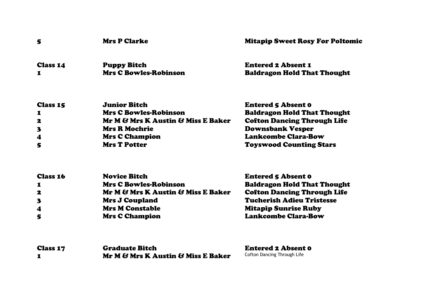| 5                       | <b>Mrs P Clarke</b>                | <b>Mitapip Sweet Rosy For Poltomic</b> |
|-------------------------|------------------------------------|----------------------------------------|
| <b>Class 14</b>         | <b>Puppy Bitch</b>                 | <b>Entered 2 Absent 1</b>              |
| 1                       | <b>Mrs C Bowles-Robinson</b>       | <b>Baldragon Hold That Thought</b>     |
| <b>Class 15</b>         | <b>Junior Bitch</b>                | <b>Entered 5 Absent 0</b>              |
| 1                       | <b>Mrs C Bowles-Robinson</b>       | <b>Baldragon Hold That Thought</b>     |
| 2                       | Mr M & Mrs K Austin & Miss E Baker | <b>Cofton Dancing Through Life</b>     |
| $\overline{\mathbf{3}}$ | <b>Mrs R Mochrie</b>               | <b>Downsbank Vesper</b>                |
| $\boldsymbol{4}$        | <b>Mrs C Champion</b>              | <b>Lankcombe Clara-Bow</b>             |
| 5                       | <b>Mrs T Potter</b>                | <b>Toyswood Counting Stars</b>         |

| <b>Class 16</b>  | <b>Novice Bitch</b>                | <b>Entered 5 Absent 0</b>          |
|------------------|------------------------------------|------------------------------------|
|                  | <b>Mrs C Bowles-Robinson</b>       | <b>Baldragon Hold That Thought</b> |
| 2                | Mr M & Mrs K Austin & Miss E Baker | <b>Cofton Dancing Through Life</b> |
| 3                | <b>Mrs J Coupland</b>              | <b>Tucherish Adieu Tristesse</b>   |
| $\boldsymbol{4}$ | <b>Mrs M Constable</b>             | <b>Mitapip Sunrise Ruby</b>        |
| 5                | <b>Mrs C Champion</b>              | <b>Lankcombe Clara-Bow</b>         |

| <b>Class 17</b> | <b>Graduate Bitch</b>              | <b>Entered 2 Absent 0</b>   |
|-----------------|------------------------------------|-----------------------------|
|                 | Mr M & Mrs K Austin & Miss E Baker | Cofton Dancing Through Life |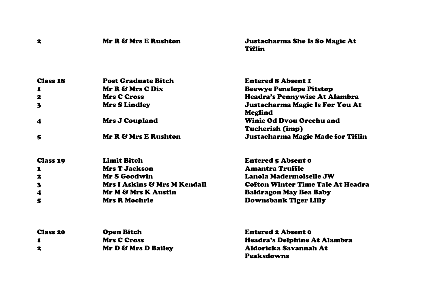| $\mathbf{z}$            | Mr R & Mrs E Rushton         | Justacharma She Is So Magic At<br>Tiflin                  |
|-------------------------|------------------------------|-----------------------------------------------------------|
| <b>Class 18</b>         | <b>Post Graduate Bitch</b>   | <b>Entered 8 Absent 1</b>                                 |
| 1                       | Mr R & Mrs C Dix             | <b>Beewye Penelope Pitstop</b>                            |
| $\mathbf{z}$            | <b>Mrs C Cross</b>           | <b>Headra's Pennywise At Alambra</b>                      |
| 3                       | <b>Mrs S Lindley</b>         | Justacharma Magic Is For You At<br><b>Meglind</b>         |
| $\boldsymbol{4}$        | <b>Mrs J Coupland</b>        | <b>Winie Od Dyou Orechu and</b><br><b>Tucherish (imp)</b> |
| 5                       | Mr R & Mrs E Rushton         | Justacharma Magic Made for Tiflin                         |
| <b>Class 19</b>         | <b>Limit Bitch</b>           | <b>Entered 5 Absent 0</b>                                 |
| $\mathbf I$             | <b>Mrs T Jackson</b>         | <b>Amantra Truffle</b>                                    |
| 2                       | Mr S Goodwin                 | Lanola Madermoiselle JW                                   |
| $\overline{\mathbf{3}}$ | Mrs I Askins & Mrs M Kendall | <b>Cofton Winter Time Tale At Headra</b>                  |
| $\boldsymbol{4}$        | Mr M & Mrs K Austin          | <b>Baldragon May Bea Baby</b>                             |
| 5                       | <b>Mrs R Mochrie</b>         | <b>Downsbank Tiger Lilly</b>                              |
| <b>Class 20</b>         | <b>Open Bitch</b>            | <b>Entered 2 Absent 0</b>                                 |
| 1                       | <b>Mrs C Cross</b>           | <b>Headra's Delphine At Alambra</b>                       |
| 2                       | Mr D & Mrs D Bailey          | Aldoricka Savannah At<br>Peaksdowns                       |